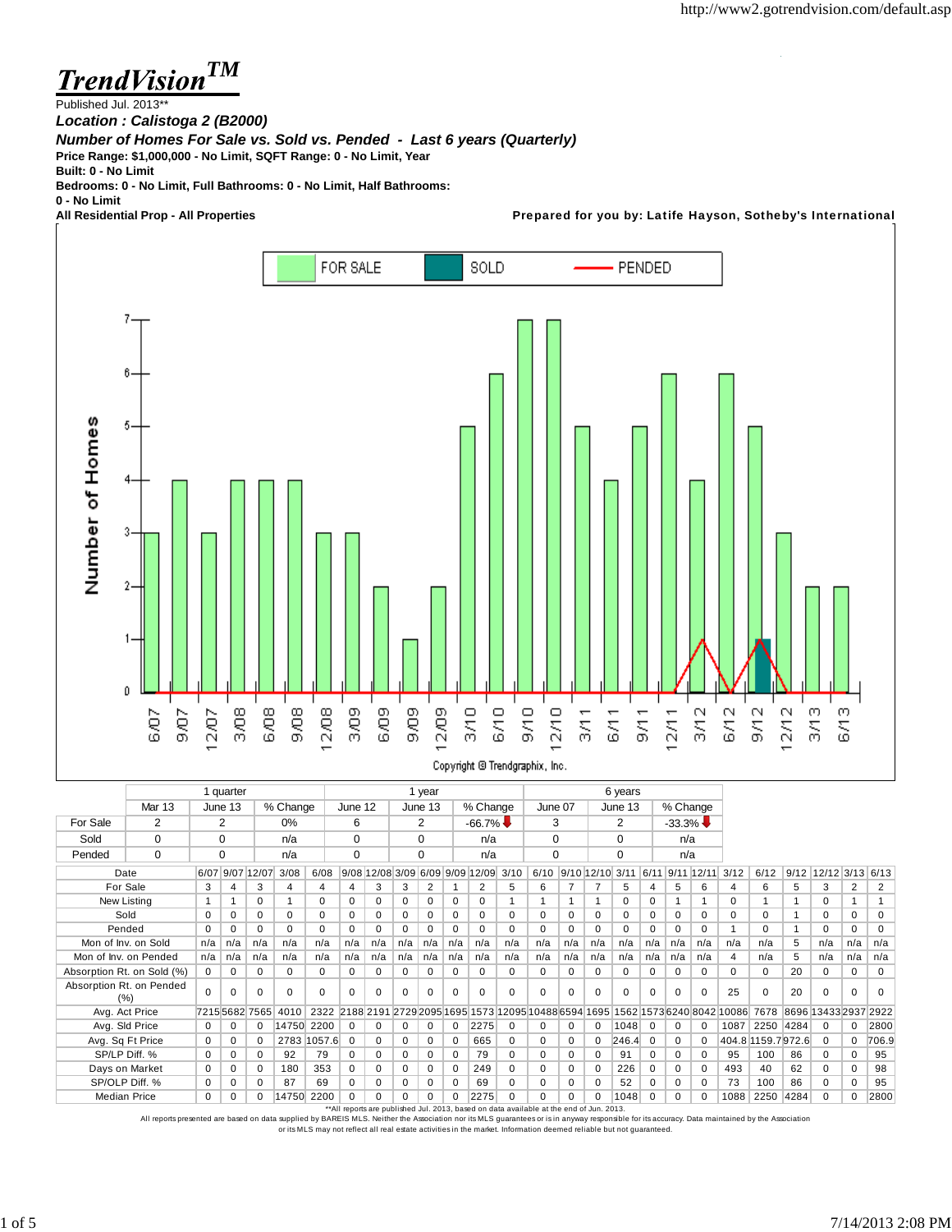à.

**TrendVision<sup>TM</sup>** 

Published Jul. 2013\*\*

*Location : Calistoga 2 (B2000)*

*Number of Homes For Sale vs. Sold vs. Pended - Last 6 years (Quarterly)*

**Price Range: \$1,000,000 - No Limit, SQFT Range: 0 - No Limit, Year**

**Built: 0 - No Limit**

**Bedrooms: 0 - No Limit, Full Bathrooms: 0 - No Limit, Half Bathrooms:**

**0 - No Limit**

Prepared for you by: Latife Hayson, Sotheby's International



|                                 |               |             | 1 quarter       |             |                    |             |             |          |          | 1 year      |             |                                 | 6 years     |             |          |             |                 |          |             |              |                                                                                    |                    |      |                      |              |             |
|---------------------------------|---------------|-------------|-----------------|-------------|--------------------|-------------|-------------|----------|----------|-------------|-------------|---------------------------------|-------------|-------------|----------|-------------|-----------------|----------|-------------|--------------|------------------------------------------------------------------------------------|--------------------|------|----------------------|--------------|-------------|
|                                 | <b>Mar 13</b> |             | June 13         |             | % Change           |             | June 12     |          |          | June 13     |             | % Change                        |             | June 07     |          |             | June 13         |          | % Change    |              |                                                                                    |                    |      |                      |              |             |
| For Sale                        | 2             |             | 2               |             | 0%                 |             | 6           |          |          | 2           |             | $-66.7\%$                       |             | 3           |          |             | 2               |          | $-33.3\%$   |              |                                                                                    |                    |      |                      |              |             |
| Sold                            | $\Omega$      |             | $\Omega$        |             | n/a                |             | $\Omega$    |          |          | $\Omega$    |             | n/a                             |             | 0           |          |             | $\mathbf 0$     |          | n/a         |              |                                                                                    |                    |      |                      |              |             |
| Pended                          | $\Omega$      |             | $\Omega$        |             | n/a                |             | $\Omega$    |          |          | $\mathbf 0$ |             | n/a                             |             | 0           |          |             | 0               |          | n/a         |              |                                                                                    |                    |      |                      |              |             |
| Date                            |               |             | 6/07 9/07 12/07 |             | 3/08               | 6/08        |             |          |          |             |             | 9/08 12/08 3/09 6/09 9/09 12/09 | 3/10        | 6/10        |          |             | 9/10 12/10 3/11 | 6/11     |             | $9/11$ 12/11 | 3/12                                                                               | 6/12               | 9/12 | 12/12 3/13           |              | 6/13        |
| For Sale                        |               | 3           | 4               | 3           | 4                  | 4           | 4           | 3        | 3        | 2           |             | 2                               | 5           | 6           |          |             | 5               | 4        | 5           | 6            | 4                                                                                  | 6                  | 5    | 3                    | 2            | 2           |
| New Listing                     |               | 1           |                 | $\Omega$    |                    | $\Omega$    | $\mathbf 0$ | $\Omega$ | 0        | $\mathbf 0$ | 0           | $\Omega$                        |             |             | 1        |             | $\Omega$        | 0        |             |              | $\Omega$                                                                           |                    |      | $\Omega$             |              |             |
| Sold                            |               | $\Omega$    | $\Omega$        | $\mathbf 0$ | $\Omega$           | $\Omega$    | 0           | $\Omega$ | 0        | $\mathbf 0$ | 0           | 0                               | $\Omega$    | $\Omega$    | $\Omega$ | 0           | $\Omega$        | 0        | $\mathbf 0$ | $\Omega$     | 0                                                                                  | $\Omega$           | 1    | $\Omega$             | 0            | 0           |
|                                 | Pended        |             | $\Omega$        | $\Omega$    | $\Omega$           | $\Omega$    | $\mathbf 0$ | $\Omega$ | $\Omega$ | $\Omega$    | $\Omega$    | $\Omega$                        | $\Omega$    | $\Omega$    | $\Omega$ | $\Omega$    | $\Omega$        | $\Omega$ | $\Omega$    | $\Omega$     |                                                                                    | $\Omega$           |      | $\Omega$             | 0            | $\mathbf 0$ |
| Mon of Inv. on Sold             |               | n/a         | n/a             | n/a         | n/a                | n/a         | n/a         | n/a      | n/a      | n/a         | n/a         | n/a                             | n/a         | n/a         | n/a      | n/a         | n/a             | n/a      | n/a         | n/a          | n/a                                                                                | n/a                | 5    | n/a                  | n/a          | n/a         |
| Mon of Inv. on Pended           |               | n/a         | n/a             | n/a         | n/a                | n/a         | n/a         | n/a      | n/a      | n/a         | n/a         | n/a                             | n/a         | n/a         | n/a      | n/a         | n/a             | n/a      | n/a         | n/a          | 4                                                                                  | n/a                | 5    | n/a                  | n/a          | n/a         |
| Absorption Rt. on Sold (%)      |               | $\mathbf 0$ | 0               | $\mathbf 0$ | $\Omega$           | 0           | $\mathbf 0$ | 0        | 0        | $\mathbf 0$ | $\mathbf 0$ | 0                               | $\mathbf 0$ | $\mathbf 0$ | 0        | $\mathbf 0$ | 0               | 0        | $\mathbf 0$ | 0            | 0                                                                                  | 0                  | 20   | $\mathbf 0$          | 0            | $\mathbf 0$ |
| Absorption Rt. on Pended<br>(%) |               | $\Omega$    | $\Omega$        | $\Omega$    | $\Omega$           | $\Omega$    | $\Omega$    | $\Omega$ | $\Omega$ | $\Omega$    | $\Omega$    | 0                               | $\Omega$    | $\Omega$    | $\Omega$ | $\Omega$    | $\Omega$        | $\Omega$ | $\Omega$    | $\Omega$     | 25                                                                                 | $\Omega$           | 20   | $\Omega$             | $\Omega$     | $\Omega$    |
| Avg. Act Price                  |               |             |                 |             | 72155682 7565 4010 |             |             |          |          |             |             |                                 |             |             |          |             |                 |          |             |              | 2322 2188 2191 2729 2095 1695 1573 12095 10488 6594 1695 1562 1573 6240 8042 10086 | 7678               |      | 8696 13433 2937 2922 |              |             |
| Avg. Sld Price                  |               | 0           | 0               | 0           | 14750              | 2200        | $\mathbf 0$ | 0        | 0        | $\mathbf 0$ | 0           | 2275                            | 0           | 0           | 0        | $\mathbf 0$ | 1048            | 0        | $\mathbf 0$ | $\Omega$     | 1087                                                                               | 2250 4284          |      | 0                    | $\mathbf{0}$ | 2800        |
| Avg. Sq Ft Price                |               | $\Omega$    | $\Omega$        | $\Omega$    |                    | 2783 1057.6 | $\Omega$    | $\Omega$ | $\Omega$ | $\Omega$    | $\Omega$    | 665                             | $\Omega$    | $\Omega$    | $\Omega$ | $\Omega$    | 246.4           | $\Omega$ | $\Omega$    | $\Omega$     |                                                                                    | 404.8 1159.7 972.6 |      | $\mathbf 0$          | $\Omega$     | 706.9       |
| SP/LP Diff. %                   |               | $\Omega$    | $\Omega$        | 0           | 92                 | 79          | 0           | $\Omega$ | 0        | $\mathbf 0$ | $\Omega$    | 79                              | $\Omega$    | $\Omega$    | $\Omega$ | 0           | 91              | $\Omega$ | $\mathbf 0$ | $\Omega$     | 95                                                                                 | 100                | 86   | $\Omega$             | 0            | 95          |
| Days on Market                  |               | $\Omega$    | $\Omega$        | 0           | 180                | 353         | $\mathbf 0$ | 0        | 0        | $\Omega$    | $\Omega$    | 249                             | $\Omega$    | $\Omega$    | $\Omega$ | 0           | 226             | 0        | $\Omega$    | $\Omega$     | 493                                                                                | 40                 | 62   | $\Omega$             | $\Omega$     | 98          |
| SP/OLP Diff. %                  |               | $\Omega$    | 0               | $\mathbf 0$ | 87                 | 69          | 0           | 0        | 0        | $\mathbf 0$ | $\Omega$    | 69                              | $\Omega$    | 0           | 0        | $\mathbf 0$ | 52              | $\Omega$ | $\mathbf 0$ | $\Omega$     | 73                                                                                 | 100                | 86   | $\Omega$             | 0            | 95          |
| <b>Median Price</b>             |               | $\Omega$    | $\Omega$        | 0           | 14750              | 2200        | $\Omega$    | $\Omega$ | $\Omega$ | $\Omega$    | $\Omega$    | 2275                            | $\Omega$    | $\Omega$    | $\Omega$ | $\Omega$    | 1048            | $\Omega$ | $\Omega$    |              | 1088                                                                               | 2250               | 4284 | $\Omega$             | 0            | 2800        |

\*\*All reports are published Jul. 2013, based on data available at the end of Jun. 2013.

All reports presented are based on data supplied by BAREIS MLS. Neither the Association nor its MLS guarantees or is in anyway responsible for its accuracy. Data maintained by the Association<br>or its MLS may not reflect all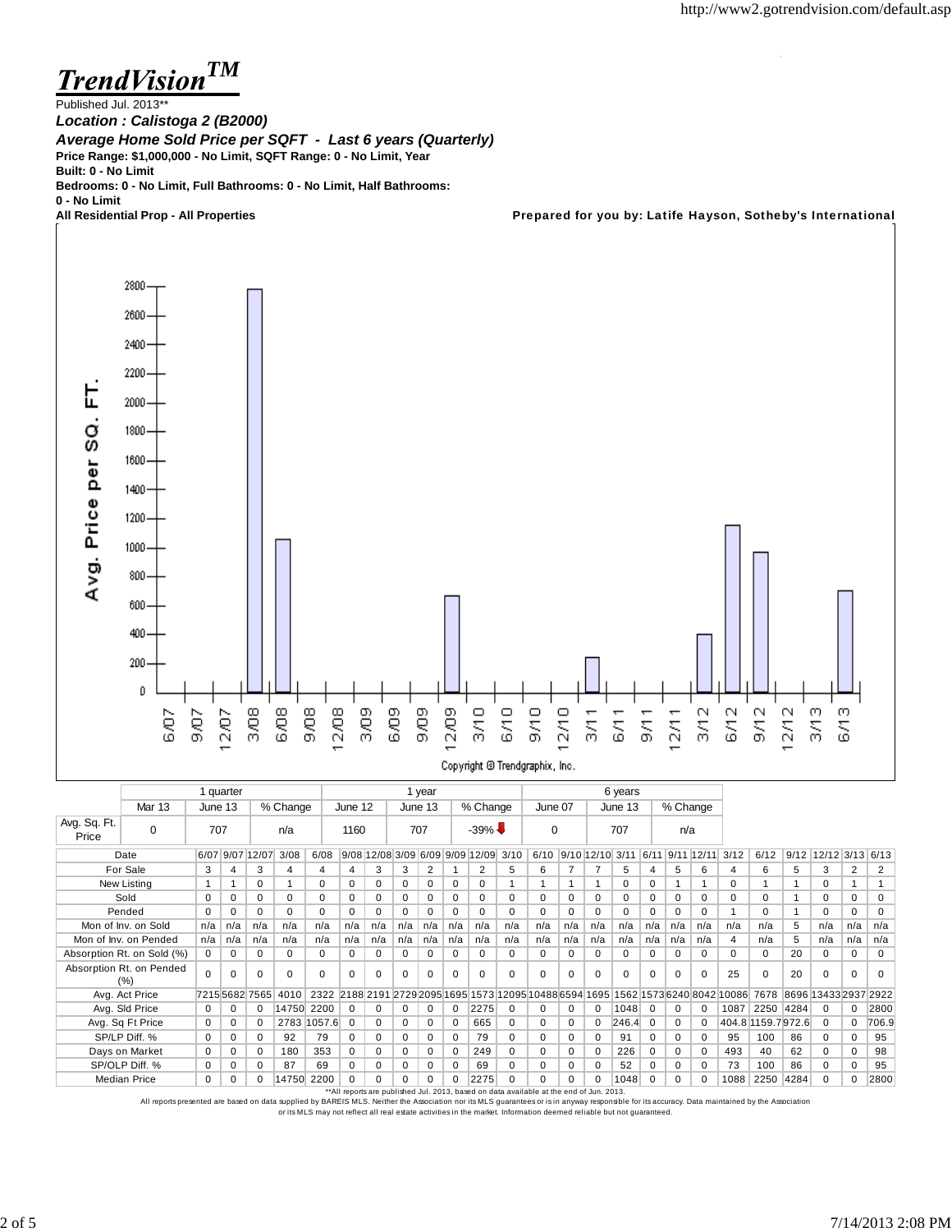*TM* **TrendVision** 

Published Jul. 2013\*\* *Location : Calistoga 2 (B2000) Average Home Sold Price per SQFT - Last 6 years (Quarterly)* **Price Range: \$1,000,000 - No Limit, SQFT Range: 0 - No Limit, Year Built: 0 - No Limit Bedrooms: 0 - No Limit, Full Bathrooms: 0 - No Limit, Half Bathrooms:**

**0 - No Limit**

Prepared for you by: Latife Hayson, Sotheby's International



|                       |                                 |          | 1 quarter |                |                      |             |             |          |          | 1 year   |          |                                      |          |                                                     |          |          | 6 years                         |          |             |          |                           |                    |      |                      |          |          |
|-----------------------|---------------------------------|----------|-----------|----------------|----------------------|-------------|-------------|----------|----------|----------|----------|--------------------------------------|----------|-----------------------------------------------------|----------|----------|---------------------------------|----------|-------------|----------|---------------------------|--------------------|------|----------------------|----------|----------|
|                       | Mar 13                          |          | June 13   |                | % Change             |             | June 12     |          |          | June 13  |          | % Change                             |          | June 07                                             |          |          | June 13                         |          |             | % Change |                           |                    |      |                      |          |          |
| Avg. Sq. Ft.<br>Price | 0                               | 707      |           |                | n/a                  |             | 1160        |          |          | 707      |          | $-39\%$                              |          | $\Omega$                                            |          |          | 707                             |          | n/a         |          |                           |                    |      |                      |          |          |
|                       | Date                            |          |           |                | 6/07 9/07 12/07 3/08 | 6/08        |             |          |          |          |          | 9/08 12/08 3/09 6/09 9/09 12/09 3/10 |          | 6/10                                                |          |          | 9/10 12/10 3/11 6/11 9/11 12/11 |          |             |          | 3/12                      | 6/12               | 9/12 | 12/12 3/13 6/13      |          |          |
|                       | For Sale                        | 3        | 4         | 3              | 4                    | 4           | 4           | 3        | 3        | 2        |          | 2                                    | 5        | 6                                                   |          |          | 5                               | 4        | 5           | 6        | 4                         | 6                  | 5    | 3                    | 2        | 2        |
|                       | New Listing                     | 1        |           | $\Omega$       |                      | 0           | $\Omega$    | $\Omega$ | 0        | 0        | 0        | 0                                    |          |                                                     |          |          | $\Omega$                        | 0        |             |          | $\Omega$                  |                    |      | 0                    |          |          |
|                       | Sold                            | $\Omega$ | 0         | 0              | 0                    | $\Omega$    | 0           | $\Omega$ | 0        | 0        | 0        | 0                                    | 0        | $\Omega$                                            | 0        | 0        | $\Omega$                        | 0        | $\mathbf 0$ | $\Omega$ | 0                         | 0                  |      | $\mathbf 0$          | 0        | 0        |
|                       | Pended                          | $\Omega$ | $\Omega$  | $\Omega$       | 0                    | $\Omega$    | $\mathbf 0$ | $\Omega$ | $\Omega$ | 0        | 0        | 0                                    | $\Omega$ | $\Omega$                                            | 0        | $\Omega$ | $\Omega$                        | 0        | $\mathbf 0$ | $\Omega$ |                           | $\Omega$           |      | 0                    | 0        | 0        |
| Mon of Inv. on Sold   |                                 | n/a      | n/a       | n/a            | n/a                  | n/a         | n/a         | n/a      | n/a      | n/a      | n/a      | n/a                                  | n/a      | n/a                                                 | n/a      | n/a      | n/a                             | n/a      | n/a         | n/a      | n/a                       | n/a                | 5    | n/a                  | n/a      | n/a      |
|                       | Mon of Inv. on Pended           | n/a      | n/a       | n/a            | n/a                  | n/a         | n/a         | n/a      | n/a      | n/a      | n/a      | n/a                                  | n/a      | n/a                                                 | n/a      | n/a      | n/a                             | n/a      | n/a         | n/a      | $\overline{4}$            | n/a                | 5    | n/a                  | n/a      | n/a      |
|                       | Absorption Rt. on Sold (%)      | $\Omega$ | $\Omega$  | $\Omega$       | 0                    | $\Omega$    | $\Omega$    | $\Omega$ | 0        | $\Omega$ | $\Omega$ | 0                                    | 0        | $\Omega$                                            | 0        | $\Omega$ | $\Omega$                        | 0        | $\Omega$    | $\Omega$ | $\Omega$                  | $\Omega$           | 20   | $\Omega$             | $\Omega$ | $\Omega$ |
|                       | Absorption Rt. on Pended<br>(%) | $\Omega$ | $\Omega$  | $\Omega$       | $\Omega$             | $\Omega$    | $\Omega$    | $\Omega$ | $\Omega$ | $\Omega$ | 0        | $\Omega$                             | 0        | $\Omega$                                            | $\Omega$ | 0        | $\Omega$                        | 0        | $\Omega$    | $\Omega$ | 25                        | $\Omega$           | 20   | 0                    | $\Omega$ | $\Omega$ |
|                       | Avg. Act Price                  |          |           | 7215 5682 7565 | 4010                 | 2322        |             |          |          |          |          |                                      |          | 2188 2191 2729 2095 1695 1573 12095 10488 6594 1695 |          |          |                                 |          |             |          | 1562 1573 6240 8042 10086 | 7678               |      | 8696 13433 2937 2922 |          |          |
|                       | Avg. Sld Price                  | $\Omega$ | $\Omega$  | $\Omega$       | 14750                | 2200        | $\Omega$    | $\Omega$ | 0        | 0        | 0        | 2275                                 | $\Omega$ | $\Omega$                                            | 0        | 0        | 1048                            | $\Omega$ | $\Omega$    | $\Omega$ | 1087                      | 2250 4284          |      | $\Omega$             | 0        | 2800     |
|                       | Avg. Sq Ft Price                | 0        | 0         | 0              |                      | 2783 1057.6 | $\Omega$    | 0        | 0        | 0        | 0        | 665                                  | 0        | $\Omega$                                            | $\Omega$ | 0        | 246.4                           | 0        | $\Omega$    | $\Omega$ |                           | 404.8 1159.7 972.6 |      | $\Omega$             | $\Omega$ | 706.9    |
|                       | SP/LP Diff. %                   | $\Omega$ | $\Omega$  | 0              | 92                   | 79          | 0           | $\Omega$ | $\Omega$ | $\Omega$ | $\Omega$ | 79                                   | 0        | $\Omega$                                            | 0        | 0        | 91                              | 0        | $\Omega$    | $\Omega$ | 95                        | 100                | 86   | $\Omega$             | $\Omega$ | 95       |
|                       | Days on Market                  | $\Omega$ | $\Omega$  | 0              | 180                  | 353         | 0           | $\Omega$ | 0        | $\Omega$ | $\Omega$ | 249                                  | 0        | $\Omega$                                            | 0        | $\Omega$ | 226                             | 0        | $\Omega$    | $\Omega$ | 493                       | 40                 | 62   | $\Omega$             | $\Omega$ | 98       |
|                       | SP/OLP Diff. %                  | 0        | $\Omega$  | $\Omega$       | 87                   | 69          | 0           | 0        | 0        | 0        | 0        | 69                                   | 0        | 0                                                   | 0        | $\Omega$ | 52                              | 0        | 0           | $\Omega$ | 73                        | 100                | 86   | 0                    | 0        | 95       |
|                       | <b>Median Price</b>             | $\Omega$ | 0         | $\Omega$       |                      | 14750 2200  | $\Omega$    | $\Omega$ | 0        | $\Omega$ | 0        | 2275                                 | 0        | 0                                                   | 0        | 0        | 1048                            | $\Omega$ | $\Omega$    | $\Omega$ | 1088                      | 2250 4284          |      | $\Omega$             |          | 2800     |

\*\*All reports are published Jul. 2013, based on data available at the end of Jun. 2013.

All reports presented are based on data supplied by BAREIS MLS. Neither the Association nor its MLS guarantees or is in anyway responsible for its accuracy. Data maintained by the Association or its MLS may not reflect all real estate activities in the market. Information deemed reliable but not guaranteed.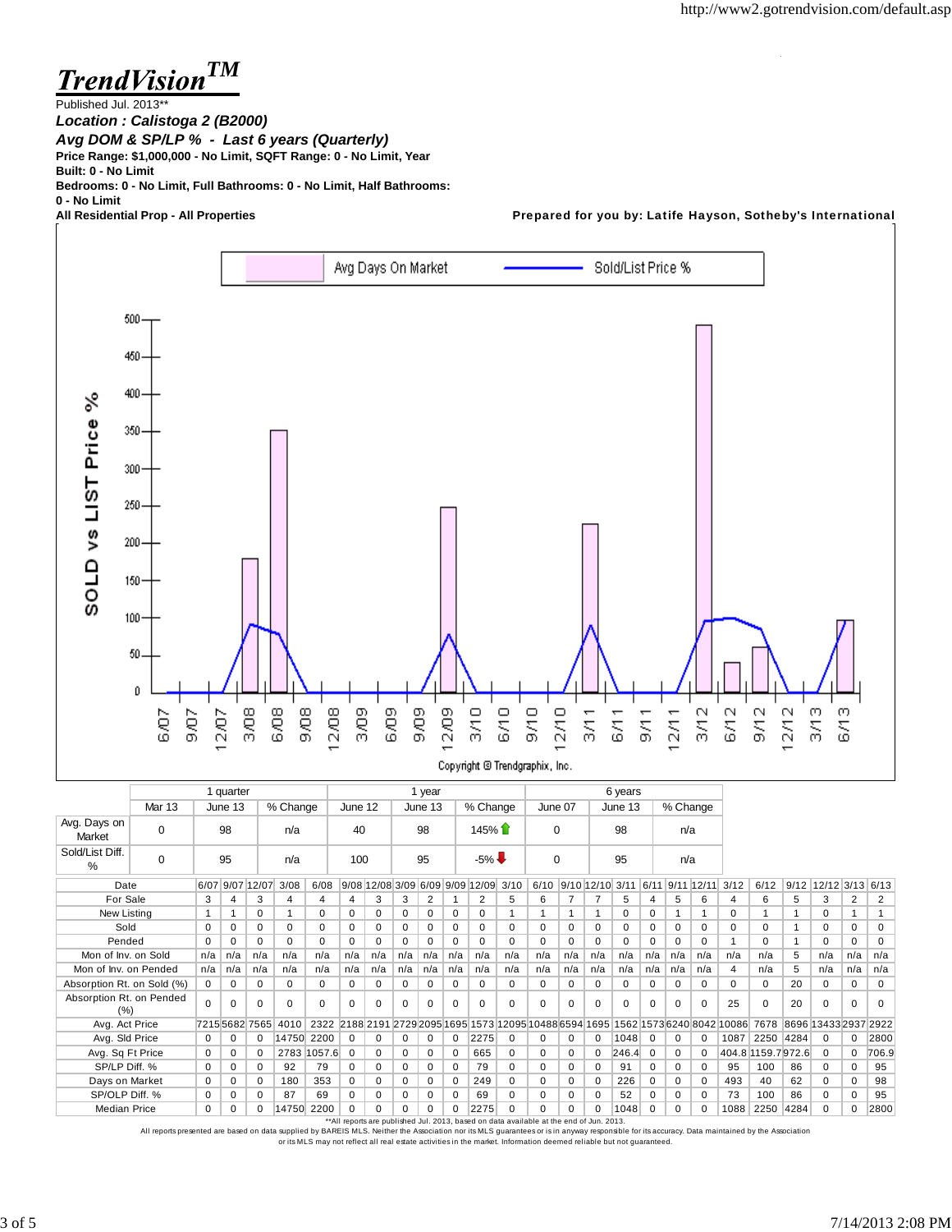**TrendVision<sup>TM</sup>** 

Published Jul. 2013\*\* *Location : Calistoga 2 (B2000) Avg DOM & SP/LP % - Last 6 years (Quarterly)* **Price Range: \$1,000,000 - No Limit, SQFT Range: 0 - No Limit, Year Built: 0 - No Limit**

**Bedrooms: 0 - No Limit, Full Bathrooms: 0 - No Limit, Half Bathrooms:**

**0 - No Limit**

Prepared for you by: Latife Hayson, Sotheby's International



|                                 |               |           | 1 quarter |                 |                     |             |             |          |          | 1 year   |          |                                      |          | 6 years                                                                            |          |             |                 |          |          |                 |      |                    |                           |                        |          |          |
|---------------------------------|---------------|-----------|-----------|-----------------|---------------------|-------------|-------------|----------|----------|----------|----------|--------------------------------------|----------|------------------------------------------------------------------------------------|----------|-------------|-----------------|----------|----------|-----------------|------|--------------------|---------------------------|------------------------|----------|----------|
|                                 | <b>Mar 13</b> |           | June 13   |                 | % Change            |             | June 12     |          |          | June 13  |          | % Change                             |          | June 07                                                                            |          |             | June 13         |          | % Change |                 |      |                    |                           |                        |          |          |
| Avg. Days on<br>Market          | $\Omega$      | 98<br>n/a |           |                 | 40                  |             | 98          |          |          | 145%     |          | $\Omega$                             |          |                                                                                    | 98       |             | n/a             |          |          |                 |      |                    |                           |                        |          |          |
| Sold/List Diff.<br>%            | 0             |           | 95        |                 | n/a                 |             | 100         |          |          | 95       |          | $-5\%$                               |          | $\mathbf 0$                                                                        |          |             | 95              |          | n/a      |                 |      |                    |                           |                        |          |          |
| Date                            |               |           |           | 6/07 9/07 12/07 | 3/08                | 6/08        |             |          |          |          |          | 9/08 12/08 3/09 6/09 9/09 12/09 3/10 |          | 6/10                                                                               |          |             | 9/10 12/10 3/11 |          |          | 6/11 9/11 12/11 | 3/12 | 6/12               |                           | $9/12$ 12/12 3/13 6/13 |          |          |
| For Sale                        |               | 3         | 4         | 3               |                     | 4           | 4           | 3        | 3        | 2        |          | 2                                    | 5        | 6                                                                                  |          | 7           | 5               | 4        | 5        | 6               | 4    | 6                  | 5                         | 3                      | 2        | 2        |
| New Listing                     |               |           |           | $\Omega$        |                     | $\Omega$    | $\mathbf 0$ | 0        | 0        | 0        | $\Omega$ | 0                                    |          |                                                                                    |          | 1           | $\Omega$        | 0        | 1        |                 | 0    | 1                  |                           | 0                      |          |          |
| Sold                            |               | $\Omega$  | $\Omega$  | $\Omega$        | 0                   | $\Omega$    | $\Omega$    | $\Omega$ | $\Omega$ | $\Omega$ | O        | $\Omega$                             | $\Omega$ | $\Omega$                                                                           | $\Omega$ | $\Omega$    | $\Omega$        | $\Omega$ | $\Omega$ | $\Omega$        | 0    | $\Omega$           |                           | $\Omega$               | 0        | $\Omega$ |
| Pended                          |               | $\Omega$  | $\Omega$  | $\Omega$        | $\Omega$            | $\Omega$    | $\Omega$    | U        | $\Omega$ | $\Omega$ | $\Omega$ | $\Omega$                             | $\Omega$ | $\Omega$                                                                           | $\Omega$ | $\Omega$    | <sup>n</sup>    | $\Omega$ | $\Omega$ | $\Omega$        | 1    | $\Omega$           |                           | $\Omega$               | $\Omega$ | $\Omega$ |
| Mon of Inv. on Sold             |               | n/a       | n/a       | n/a             | n/a                 | n/a         | n/a         | n/a      | n/a      | n/a      | n/a      | n/a                                  | n/a      | n/a                                                                                | n/a      | n/a         | n/a             | n/a      | n/a      | n/a             | n/a  | n/a                | 5                         | n/a                    | n/a      | n/a      |
| Mon of Inv. on Pended           |               | n/a       | n/a       | n/a             | n/a                 | n/a         | n/a         | n/a      | n/a      | n/a      | n/a      | n/a                                  | n/a      | n/a                                                                                | n/a      | n/a         | n/a             | n/a      | n/a      | n/a             | 4    | n/a                | 5                         | n/a                    | n/a      | n/a      |
| Absorption Rt. on Sold (%)      |               | 0         | 0         | 0               | 0                   | $\Omega$    | $\mathbf 0$ | $\Omega$ | 0        | 0        | 0        | 0                                    | $\Omega$ | $\mathbf 0$                                                                        | 0        | $\mathbf 0$ | 0               | 0        | 0        | $\Omega$        | 0    | 0                  | 20                        | 0                      | 0        | 0        |
| Absorption Rt. on Pended<br>(%) |               | $\Omega$  | $\Omega$  | $\Omega$        | $\Omega$            | $\Omega$    | $\Omega$    | $\Omega$ | $\Omega$ | $\Omega$ | $\Omega$ | $\Omega$                             | $\Omega$ | $\Omega$                                                                           | $\Omega$ | $\Omega$    | $\Omega$        | $\Omega$ | $\Omega$ | $\Omega$        | 25   | $\mathbf 0$        | 20                        | $\Omega$               | $\Omega$ | $\Omega$ |
| Avg. Act Price                  |               |           |           |                 | 7215 5682 7565 4010 |             |             |          |          |          |          |                                      |          | 2322 2188 2191 2729 2095 1695 1573 12095 10488 6594 1695 1562 1573 6240 8042 10086 |          |             |                 |          |          |                 |      |                    | 7678 8696 13433 2937 2922 |                        |          |          |
| Avg. Sld Price                  |               | $\Omega$  | $\Omega$  | $\Omega$        | 14750 2200          |             | $\Omega$    | $\Omega$ | 0        | 0        | 0        | 2275                                 | $\Omega$ | $\Omega$                                                                           | $\Omega$ | $\Omega$    | 1048            | $\Omega$ | $\Omega$ | O               | 1087 | 2250 4284          |                           | $\Omega$               | $\Omega$ | 2800     |
| Avg. Sq Ft Price                |               | $\Omega$  | 0         | 0               |                     | 2783 1057.6 | $\Omega$    | $\Omega$ | 0        | 0        | 0        | 665                                  | $\Omega$ | $\Omega$                                                                           | 0        | $\Omega$    | 246.4           | $\Omega$ | 0        | 0               |      | 404.8 1159.7 972.6 |                           | $\Omega$               | $\Omega$ | 706.9    |
| SP/LP Diff. %                   |               | $\Omega$  | 0         | $\Omega$        | 92                  | 79          | $\Omega$    | 0        | 0        | 0        | O        | 79                                   | $\Omega$ | $\Omega$                                                                           | 0        | $\Omega$    | 91              | 0        | 0        | O               | 95   | 100                | 86                        | $\Omega$               | 0        | 95       |
| Days on Market                  |               | 0         | 0         | $\mathbf 0$     | 180                 | 353         | $\mathbf 0$ | 0        | 0        | 0        | 0        | 249                                  | $\Omega$ | 0                                                                                  | 0        | $\Omega$    | 226             | 0        | 0        | O               | 493  | 40                 | 62                        | $\Omega$               | 0        | 98       |
| SP/OLP Diff. %                  |               | $\Omega$  | 0         | $\Omega$        | 87                  | 69          | 0           | 0        | 0        | 0        | $\Omega$ | 69                                   | $\Omega$ | 0                                                                                  | 0        | $\Omega$    | 52              | $\Omega$ | 0        | 0               | 73   | 100                | 86                        | 0                      | 0        | 95       |
| <b>Median Price</b>             |               | $\Omega$  | 0         | $\Omega$        | 14750 2200          |             | $\Omega$    | 0        | $\Omega$ | $\Omega$ | 0        | 2275                                 | $\Omega$ | $\Omega$                                                                           | 0        | $\Omega$    | 1048            | 0        | $\Omega$ |                 | 1088 |                    | 2250 4284                 | $\Omega$               | 0        | 2800     |

\*\*All reports are published Jul. 2013, based on data available at the end of Jun. 2013.

All reports presented are based on data supplied by BAREIS MLS. Neither the Association nor its MLS guarantees or is in anyway responsible for its accuracy. Data maintained by the Association<br>or its MLS may not reflect all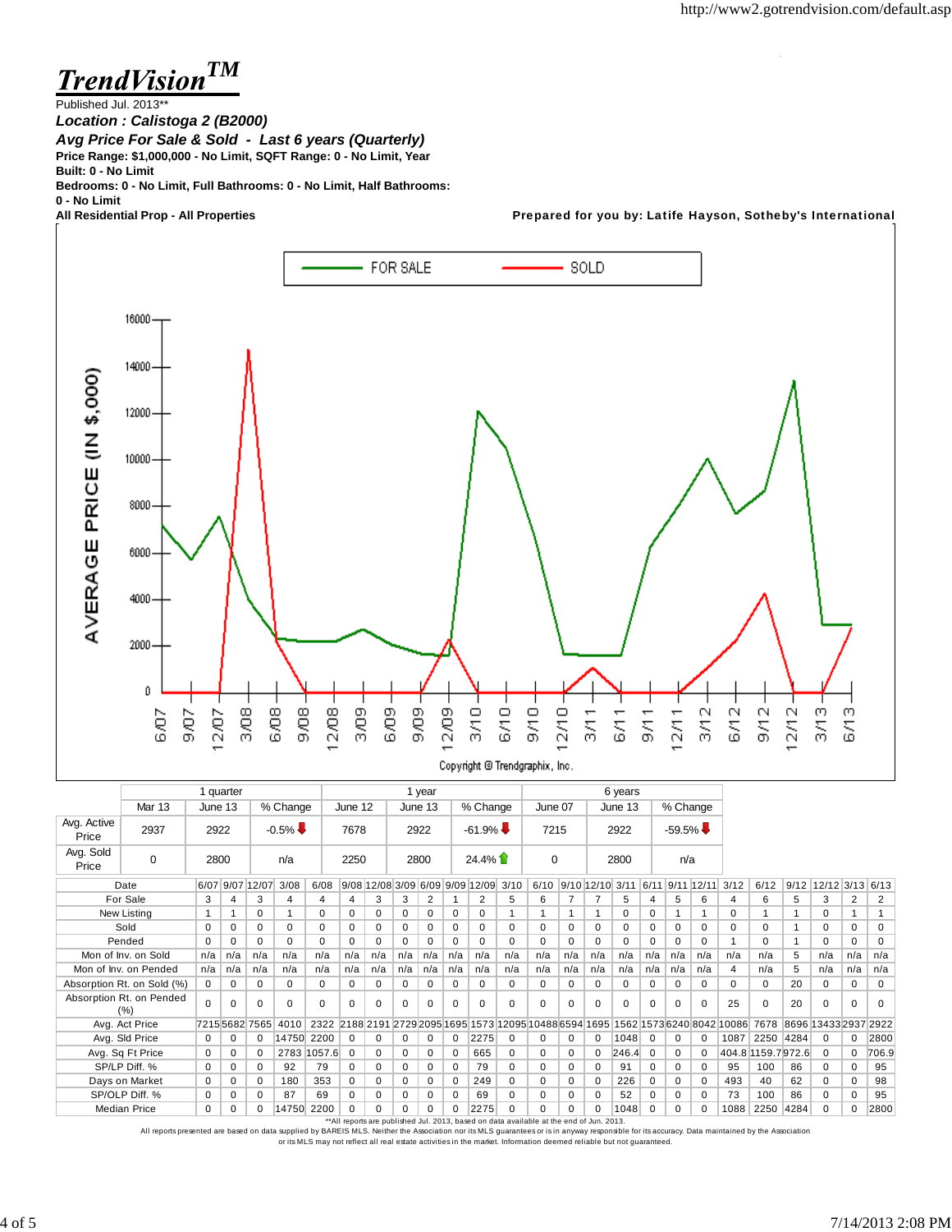**TrendVision<sup>TM</sup>** 

Published Jul. 2013\*\*

*Location : Calistoga 2 (B2000) Avg Price For Sale & Sold - Last 6 years (Quarterly)* **Price Range: \$1,000,000 - No Limit, SQFT Range: 0 - No Limit, Year Built: 0 - No Limit**

**Bedrooms: 0 - No Limit, Full Bathrooms: 0 - No Limit, Half Bathrooms:**

**0 - No Limit**

Prepared for you by: Latife Hayson, Sotheby's International



|                      |                                 |                             | 1 quarter |              |                      |             |                                                                                         |          |              | 1 year   |          |                                      |          | 6 years     |                      |          |          |             |             |            |                                                                               |                    |                      |                        |          |          |
|----------------------|---------------------------------|-----------------------------|-----------|--------------|----------------------|-------------|-----------------------------------------------------------------------------------------|----------|--------------|----------|----------|--------------------------------------|----------|-------------|----------------------|----------|----------|-------------|-------------|------------|-------------------------------------------------------------------------------|--------------------|----------------------|------------------------|----------|----------|
|                      | <b>Mar 13</b>                   | June 13<br>% Change<br>2922 |           |              |                      |             |                                                                                         | June 12  |              | June 13  |          | % Change                             |          | June 07     |                      |          | June 13  |             | % Change    |            |                                                                               |                    |                      |                        |          |          |
| Avg. Active<br>Price | 2937                            |                             |           |              | $-0.5\%$             |             | 7678                                                                                    |          |              | 2922     |          | $-61.9\%$                            |          | 7215        |                      |          | 2922     |             | $-59.5\%$   |            |                                                                               |                    |                      |                        |          |          |
| Avg. Sold<br>Price   | $\Omega$                        | 2800                        |           |              | n/a                  |             | 2250                                                                                    |          |              | 2800     |          | $24.4\%$                             |          | $\mathbf 0$ |                      |          | 2800     |             | n/a         |            |                                                                               |                    |                      |                        |          |          |
|                      | Date                            |                             |           |              | 6/07 9/07 12/07 3/08 | 6/08        |                                                                                         |          |              |          |          | 9/08 12/08 3/09 6/09 9/09 12/09 3/10 |          |             | 6/10 9/10 12/10 3/11 |          |          | 6/11        |             | 9/11 12/11 | 3/12                                                                          | 6/12               |                      | $9/12$ 12/12 3/13 6/13 |          |          |
|                      | For Sale                        | 3                           | 4         | 3            | 4                    | 4           | 4                                                                                       | 3        | 3            | 2        |          | 2                                    | 5        | 6           | $\overline{7}$       | 7        | 5        | 4           | 5           | 6          | 4                                                                             | 6                  | 5                    | 3                      | 2        | 2        |
|                      | New Listing                     | 1                           |           | $\Omega$     |                      | 0           | $\Omega$                                                                                | 0        | 0            | 0        | 0        | $\Omega$                             |          |             |                      |          | 0        | 0           |             |            | $\Omega$                                                                      |                    |                      | $\Omega$               |          |          |
|                      | Sold                            | $\Omega$                    | 0         | $\Omega$     | $\Omega$             | 0           | 0                                                                                       | 0        | $\Omega$     | $\Omega$ | 0        | $\Omega$                             | $\Omega$ | $\Omega$    | $\Omega$             | $\Omega$ | $\Omega$ | $\Omega$    | $\Omega$    | 0          | $\Omega$                                                                      | $\Omega$           |                      | $\Omega$               | $\Omega$ | 0        |
|                      | Pended                          | $\Omega$                    | 0         | $\Omega$     | 0                    | 0           | 0                                                                                       | $\Omega$ | $\Omega$     | $\Omega$ | 0        | $\Omega$                             | $\Omega$ | $\Omega$    | 0                    | $\Omega$ | $\Omega$ | $\Omega$    | $\Omega$    | $\Omega$   |                                                                               | $\Omega$           |                      | $\Omega$               | $\Omega$ | $\Omega$ |
|                      | Mon of Inv. on Sold             | n/a                         | n/a       | n/a          | n/a                  | n/a         | n/a                                                                                     | n/a      | n/a          | n/a      | n/a      | n/a                                  | n/a      | n/a         | n/a                  | n/a      | n/a      | n/a         | n/a         | n/a        | n/a                                                                           | n/a                | 5                    | n/a                    | n/a      | n/a      |
|                      | Mon of Inv. on Pended           | n/a                         | n/a       | n/a          | n/a                  | n/a         | n/a                                                                                     | n/a      | n/a          | n/a      | n/a      | n/a                                  | n/a      | n/a         | n/a                  | n/a      | n/a      | n/a         | n/a         | n/a        | 4                                                                             | n/a                | 5                    | n/a                    | n/a      | n/a      |
|                      | Absorption Rt. on Sold (%)      | 0                           | 0         | $\Omega$     | $\Omega$             | 0           | 0                                                                                       | 0        | $\mathbf{0}$ | 0        | 0        | 0                                    | $\Omega$ | $\Omega$    | 0                    | 0        | 0        | 0           | 0           | 0          | 0                                                                             | $\Omega$           | 20                   | $\Omega$               | 0        | 0        |
|                      | Absorption Rt. on Pended<br>(%) | $\Omega$                    | 0         | $\Omega$     | $\Omega$             | $\Omega$    | $\Omega$                                                                                | $\Omega$ | $\Omega$     | $\Omega$ | $\Omega$ | $\Omega$                             | $\Omega$ | $\Omega$    | $\Omega$             | $\Omega$ | $\Omega$ | $\Omega$    | $\Omega$    | $\Omega$   | 25                                                                            | $\Omega$           | 20                   | $\Omega$               | $\Omega$ | $\Omega$ |
|                      | Avg. Act Price                  |                             |           | 721556827565 | 4010                 | 2322        |                                                                                         |          |              |          |          |                                      |          |             |                      |          |          |             |             |            | 2188 2191 2729 2095 1695 1573 12095 10488 6594 1695 1562 1573 6240 8042 10086 | 7678               | 8696 13433 2937 2922 |                        |          |          |
|                      | Avg. Sld Price                  | 0                           | 0         | $\mathbf 0$  | 14750 2200           |             | $\mathbf 0$                                                                             | 0        | 0            | 0        | 0        | 2275                                 | $\Omega$ | $\mathbf 0$ | 0                    | 0        | 1048     | $\mathbf 0$ | $\mathbf 0$ |            | 1087                                                                          | 2250 4284          |                      | $\Omega$               | $\Omega$ | 2800     |
|                      | Avg. Sq Ft Price                | 0                           | 0         | $\mathbf 0$  |                      | 2783 1057.6 | $\mathbf 0$                                                                             | 0        | 0            | 0        | 0        | 665                                  | 0        | 0           | 0                    | 0        | 246.4    | $\mathbf 0$ | $\mathbf 0$ |            |                                                                               | 404.8 1159.7 972.6 |                      | $\mathbf 0$            | $\Omega$ | 706.9    |
|                      | SP/LP Diff. %                   | 0                           | 0         | $\Omega$     | 92                   | 79          | $\Omega$                                                                                | 0        | 0            | 0        | 0        | 79                                   | $\Omega$ | $\Omega$    | 0                    | $\Omega$ | 91       | $\Omega$    | $\mathbf 0$ | 0          | 95                                                                            | 100                | 86                   | $\Omega$               | 0        | 95       |
|                      | Days on Market                  | $\Omega$                    | 0         | $\Omega$     | 180                  | 353         | $\Omega$                                                                                | 0        | $\Omega$     | $\Omega$ | 0        | 249                                  | $\Omega$ | $\Omega$    | 0                    | $\Omega$ | 226      | $\Omega$    | $\Omega$    | $\Omega$   | 493                                                                           | 40                 | 62                   | $\Omega$               | $\Omega$ | 98       |
|                      | SP/OLP Diff. %                  | $\Omega$                    | 0         | $\Omega$     | 87                   | 69          | 0                                                                                       | 0        | 0            | $\Omega$ | $\Omega$ | 69                                   | $\Omega$ | $\Omega$    | 0                    | $\Omega$ | 52       | $\Omega$    | 0           | $\Omega$   | 73                                                                            | 100                | 86                   | $\Omega$               | 0        | 95       |
|                      | <b>Median Price</b>             | 0                           | 0         | $\Omega$     | 14750 2200           |             | $\Omega$                                                                                |          | $\Omega$     | $\Omega$ | n        | 2275                                 | $\Omega$ | $\Omega$    | 0                    | $\Omega$ | 1048     | $\Omega$    | $\Omega$    |            | 1088                                                                          | 2250               | 4284                 | $\Omega$               | 0        | 2800     |
|                      |                                 |                             |           |              |                      |             | **All reports are published Jul. 2013, based on data available at the end of Jun. 2013. |          |              |          |          |                                      |          |             |                      |          |          |             |             |            |                                                                               |                    |                      |                        |          |          |

All reports presented are based on data supplied by BAREIS MLS. Neither the Association nor its MLS guarantees or is in anyway responsible for its accuracy. Data maintained by the Association or its MLS may not reflect all real estate activities in the market. Information deemed reliable but not guaranteed.